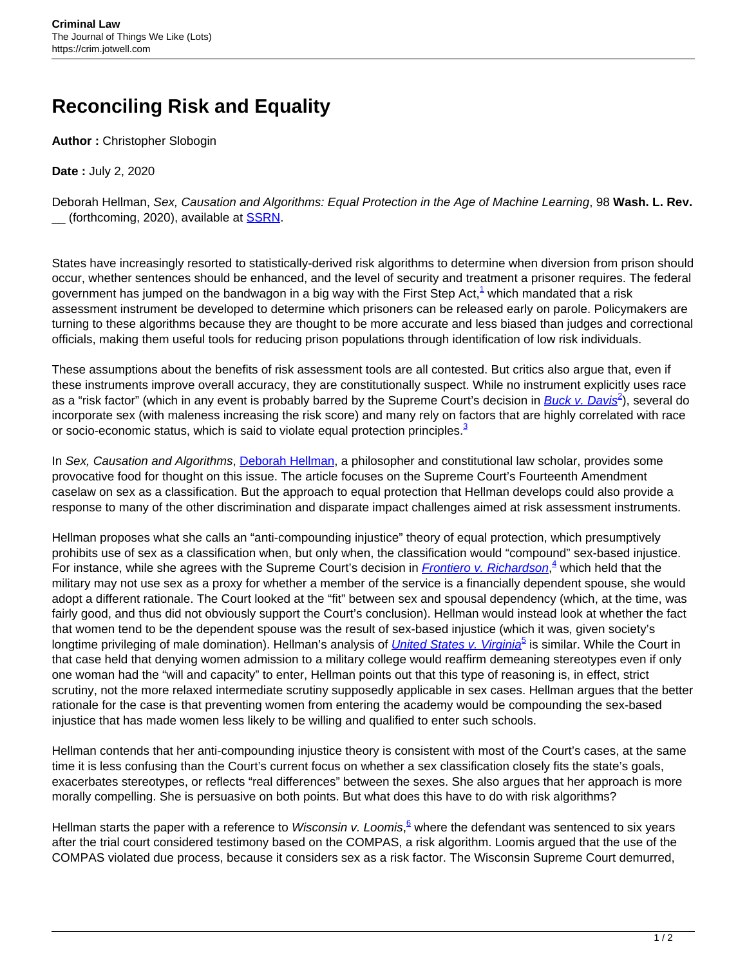## **Reconciling Risk and Equality**

**Author :** Christopher Slobogin

**Date :** July 2, 2020

Deborah Hellman, Sex, Causation and Algorithms: Equal Protection in the Age of Machine Learning, 98 **Wash. L. Rev.** \_\_ (forthcoming, 2020), available at [SSRN.](https://papers.ssrn.com/sol3/papers.cfm?abstract_id=3553378)

States have increasingly resorted to statistically-derived risk algorithms to determine when diversion from prison should occur, whether sentences should be enhanced, and the level of security and treatment a prisoner requires. The federal government has jumped on the bandwagon in a big way with the First Step Act, $^1$  which mandated that a risk assessment instrument be developed to determine which prisoners can be released early on parole. Policymakers are turning to these algorithms because they are thought to be more accurate and less biased than judges and correctional officials, making them useful tools for reducing prison populations through identification of low risk individuals.

These assumptions about the benefits of risk assessment tools are all contested. But critics also argue that, even if these instruments improve overall accuracy, they are constitutionally suspect. While no instrument explicitly uses race as a "risk factor" (which in any event is probably barred by the Supreme Court's decision in <u>[Buck v. Davis](https://www.law.cornell.edu/supct/cert/15-8049)<sup>2</sup>),</u> several do incorporate sex (with maleness increasing the risk score) and many rely on factors that are highly correlated with race or socio-economic status, which is said to violate equal protection principles.<sup>3</sup>

In Sex, Causation and Algorithms, [Deborah Hellman](https://www.law.virginia.edu/faculty/profile/dh9ev/2299809), a philosopher and constitutional law scholar, provides some provocative food for thought on this issue. The article focuses on the Supreme Court's Fourteenth Amendment caselaw on sex as a classification. But the approach to equal protection that Hellman develops could also provide a response to many of the other discrimination and disparate impact challenges aimed at risk assessment instruments.

Hellman proposes what she calls an "anti-compounding injustice" theory of equal protection, which presumptively prohibits use of sex as a classification when, but only when, the classification would "compound" sex-based injustice. For instance, while she agrees with the Supreme Court's decision in *[Frontiero v. Richardson](https://www.law.cornell.edu/supremecourt/text/411/677)*,<sup>4</sup> which held that the military may not use sex as a proxy for whether a member of the service is a financially dependent spouse, she would adopt a different rationale. The Court looked at the "fit" between sex and spousal dependency (which, at the time, was fairly good, and thus did not obviously support the Court's conclusion). Hellman would instead look at whether the fact that women tend to be the dependent spouse was the result of sex-based injustice (which it was, given society's longtime privileging of male domination). Hellman's analysis of *[United States v. Virginia](https://www.law.cornell.edu/supct/html/94-1941.ZO.html)*<sup>5</sup> is similar. While the Court in that case held that denying women admission to a military college would reaffirm demeaning stereotypes even if only one woman had the "will and capacity" to enter, Hellman points out that this type of reasoning is, in effect, strict scrutiny, not the more relaxed intermediate scrutiny supposedly applicable in sex cases. Hellman argues that the better rationale for the case is that preventing women from entering the academy would be compounding the sex-based injustice that has made women less likely to be willing and qualified to enter such schools.

Hellman contends that her anti-compounding injustice theory is consistent with most of the Court's cases, at the same time it is less confusing than the Court's current focus on whether a sex classification closely fits the state's goals, exacerbates stereotypes, or reflects "real differences" between the sexes. She also argues that her approach is more morally compelling. She is persuasive on both points. But what does this have to do with risk algorithms?

Hellman starts the paper with a reference to *Wisconsin v. Loomis*, <sup>6</sup> where the defendant was sentenced to six years after the trial court considered testimony based on the COMPAS, a risk algorithm. Loomis argued that the use of the COMPAS violated due process, because it considers sex as a risk factor. The Wisconsin Supreme Court demurred,